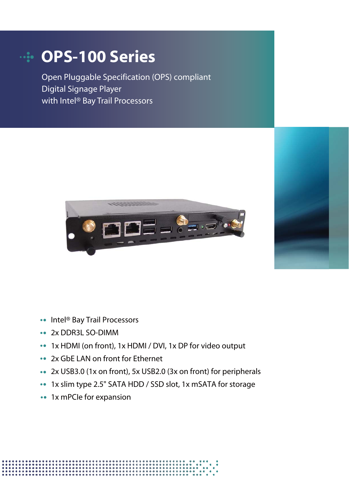# **OPS-100 Series**

Open Pluggable Specification (OPS) compliant Digital Signage Player with Intel® Bay Trail Processors





- 2x DDR3L SO-DIMM
- 1x HDMI (on front), 1x HDMI / DVI, 1x DP for video output
- 2x GbE LAN on front for Ethernet
- 2x USB3.0 (1x on front), 5x USB2.0 (3x on front) for peripherals
- 1x slim type 2.5" SATA HDD / SSD slot, 1x mSATA for storage
- 1x mPCIe for expansion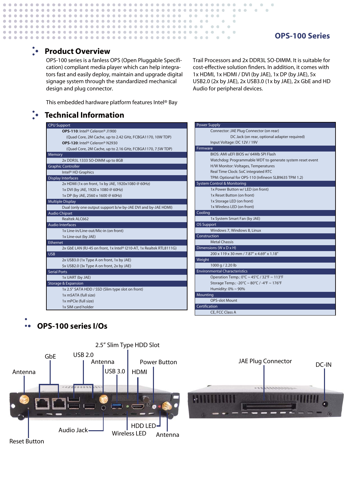#### **OPS-100 Series**

#### **Product Overview**

 $\bullet$  $\alpha$  $\alpha$ 

 $\sim$ 

 $\sim$ 

 $\alpha$  $\alpha$ 

 $\alpha$ 

OPS-100 series is a fanless OPS (Open Pluggable Specification) compliant media player which can help integrators fast and easily deploy, maintain and upgrade digital signage system through the standardized mechanical design and plug connector.

. . . . . . . . . . . . . . . . .

 $\alpha$  $\alpha$  .  $\alpha$  $\alpha$  $\alpha$  ,  $\alpha$  $\alpha$ 

> Trail Processors and 2x DDR3L SO-DIMM. It is suitable for cost-effective solution finders. In addition, it comes with 1x HDMI, 1x HDMI / DVI (by JAE), 1x DP (by JAE), 5x USB2.0 (2x by JAE), 2x USB3.0 (1x by JAE), 2x GbE and HD Audio for peripheral devices.

 $0.000$ 

 $\sim$ 

 $\overline{\phantom{a}}$ 

 $\alpha$ 

 $\mathbf{A} \cdot \mathbf{A} \cdot \mathbf{A} \cdot \mathbf{A}$ 

 $-0.0000$ 

 $\sim$  0.000  $\sim$ 

 $\sim$  0.000  $\pm$ 

 $\sim$  0

 $\sim$   $\sim$   $\sim$ 

 $\sim$ 

 $\sim$ 

 $\alpha$  ,  $\alpha$  ,  $\alpha$ 

 $\bullet$ 

 $\sim$ 

This embedded hardware platform features Intel® Bay

#### **Technical Information**

| <b>CPU Support</b>                                                  |  |  |  |
|---------------------------------------------------------------------|--|--|--|
| OPS-110: Intel® Celeron® J1900                                      |  |  |  |
| (Quad Core, 2M Cache, up to 2.42 GHz, FCBGA1170, 10W TDP)           |  |  |  |
| OPS-120: Intel® Celeron® N2930                                      |  |  |  |
| (Quad Core, 2M Cache, up to 2.16 GHz, FCBGA1170, 7.5W TDP)          |  |  |  |
| Memory                                                              |  |  |  |
| 2x DDR3L 1333 SO-DIMM up to 8GB                                     |  |  |  |
| <b>Graphic Controller</b>                                           |  |  |  |
| Intel <sup>®</sup> HD Graphics                                      |  |  |  |
| <b>Display Interfaces</b>                                           |  |  |  |
| 2x HDMI (1x on front, 1x by JAE, 1920x1080 @ 60Hz)                  |  |  |  |
| 1x DVI (by JAE, 1920 x 1080 @ 60Hz)                                 |  |  |  |
| 1x DP (by JAE, 2560 x 1600 @ 60Hz)                                  |  |  |  |
| <b>Multiple Display</b>                                             |  |  |  |
| Dual (only one output support b/w by-JAE DVI and by-JAE HDMI)       |  |  |  |
| <b>Audio Chipset</b>                                                |  |  |  |
| Realtek ALC662                                                      |  |  |  |
| <b>Audio Interfaces</b>                                             |  |  |  |
| 1x Line-in/Line-out/Mic-in (on front)                               |  |  |  |
| 1x Line-out (by JAE)                                                |  |  |  |
| Ethernet                                                            |  |  |  |
| 2x GbE LAN (RJ-45 on front, 1x Intel® I210-AT, 1x Realtek RTL8111G) |  |  |  |
| <b>USB</b>                                                          |  |  |  |
| 2x USB3.0 (1x Type A on front, 1x by JAE)                           |  |  |  |
| 5x USB2.0 (3x Type A on front, 2x by JAE)                           |  |  |  |
| Serial Ports                                                        |  |  |  |
| 1x UART (by JAE)                                                    |  |  |  |
| <b>Storage &amp; Expansion</b>                                      |  |  |  |
| 1x 2.5" SATA HDD / SSD (Slim type slot on front)                    |  |  |  |
| 1x mSATA (full size)                                                |  |  |  |
| 1x mPCle (full size)                                                |  |  |  |
| 1x SIM card holder                                                  |  |  |  |

Power Supply Connector: JAE Plug Connector (on rear) DC Jack (on rear, optional adapter required) Input Voltage: DC 12V / 19V Firmware BIOS: AMI uEFI BIOS w/ 64Mb SPI Flash Watchdog: Programmable WDT to generate system reset event H/W Monitor: Voltages, Temperatures Real Time Clock: SoC integrated RTC TPM: Optional for OPS-110 (Infineon SLB9635 TPM 1.2) **Cooling** 1x System Smart Fan (by JAE) Environmental Characteristics Operation Temp.: 0°C ~ 45°C / 32°F ~ 113°F Storage Temp.: -20°C ~ 80°C / -4°F ~ 176°F Humidity: 0% ~ 90% OS Support Windows 7, Windows 8, Linux Dimensions (W x D x H) 200 x 119 x 30 mm / 7.87" x 4.69" x 1.18" System Control & Monitoring 1x Power Button w/ LED (on front) 1x Reset Button (on front) 1x Storage LED (on front) 1x Wireless LED (on front) Mounting OPS-slot Mount Construction Metal Chassis Weight 1000 g / 2.20 lb Certification CE, FCC Class A

## **OPS-100 series I/Os**